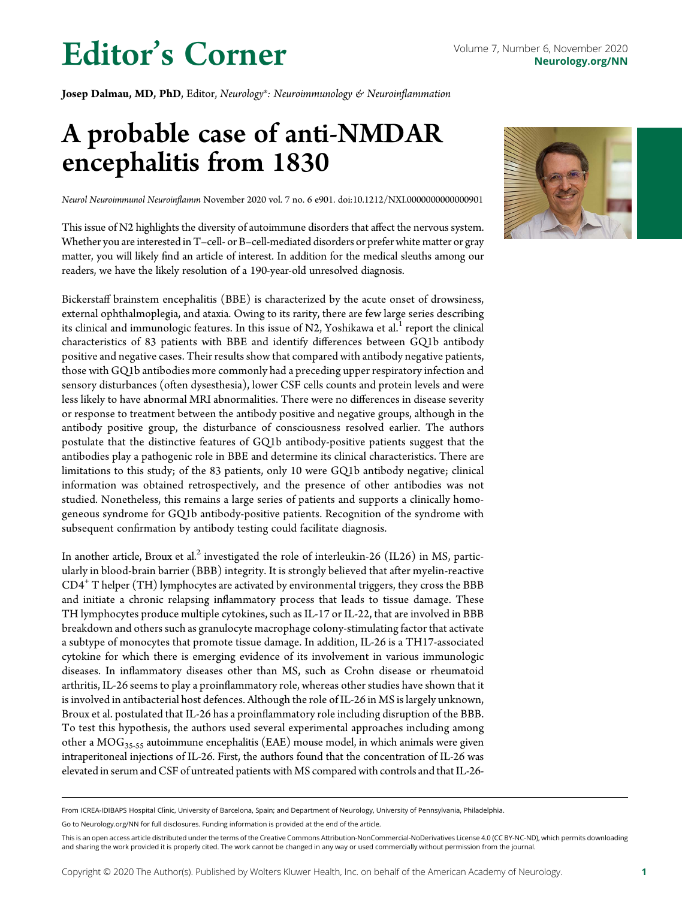## Editor's Corner Volume 7, Number 6, November 2020

Josep Dalmau, MD, PhD, Editor, Neurology®: Neuroimmunology & Neuroinflammation

### A probable case of anti-NMDAR encephalitis from 1830

Neurol Neuroimmunol Neuroinflamm November 2020 vol. 7 no. 6 e901. doi[:10.1212/NXI.0000000000000901](http://ascopubs.org/doi/full/10.1212/NXI.0000000000000901)

This issue of N2 highlights the diversity of autoimmune disorders that affect the nervous system. Whether you are interested in T-cell- or B-cell-mediated disorders or prefer white matter or gray matter, you will likely find an article of interest. In addition for the medical sleuths among our readers, we have the likely resolution of a 190-year-old unresolved diagnosis.

Bickerstaff brainstem encephalitis (BBE) is characterized by the acute onset of drowsiness, external ophthalmoplegia, and ataxia. Owing to its rarity, there are few large series describing its clinical and immunologic features. In this issue of N2, Yoshikawa et al. $<sup>1</sup>$  report the clinical</sup> characteristics of 83 patients with BBE and identify differences between GQ1b antibody positive and negative cases. Their results show that compared with antibody negative patients, those with GQ1b antibodies more commonly had a preceding upper respiratory infection and sensory disturbances (often dysesthesia), lower CSF cells counts and protein levels and were less likely to have abnormal MRI abnormalities. There were no differences in disease severity or response to treatment between the antibody positive and negative groups, although in the antibody positive group, the disturbance of consciousness resolved earlier. The authors postulate that the distinctive features of GQ1b antibody-positive patients suggest that the antibodies play a pathogenic role in BBE and determine its clinical characteristics. There are limitations to this study; of the 83 patients, only 10 were GQ1b antibody negative; clinical information was obtained retrospectively, and the presence of other antibodies was not studied. Nonetheless, this remains a large series of patients and supports a clinically homogeneous syndrome for GQ1b antibody-positive patients. Recognition of the syndrome with subsequent confirmation by antibody testing could facilitate diagnosis.

In another article, Broux et al.<sup>2</sup> investigated the role of interleukin-26 (IL26) in MS, particularly in blood-brain barrier (BBB) integrity. It is strongly believed that after myelin-reactive CD4<sup>+</sup> T helper (TH) lymphocytes are activated by environmental triggers, they cross the BBB and initiate a chronic relapsing inflammatory process that leads to tissue damage. These TH lymphocytes produce multiple cytokines, such as IL-17 or IL-22, that are involved in BBB breakdown and others such as granulocyte macrophage colony-stimulating factor that activate a subtype of monocytes that promote tissue damage. In addition, IL-26 is a TH17-associated cytokine for which there is emerging evidence of its involvement in various immunologic diseases. In inflammatory diseases other than MS, such as Crohn disease or rheumatoid arthritis, IL-26 seems to play a proinflammatory role, whereas other studies have shown that it is involved in antibacterial host defences. Although the role of IL-26 in MS is largely unknown, Broux et al. postulated that IL-26 has a proinflammatory role including disruption of the BBB. To test this hypothesis, the authors used several experimental approaches including among other a  $\rm{MOG_{35-55}}$  autoimmune encephalitis (EAE) mouse model, in which animals were given intraperitoneal injections of IL-26. First, the authors found that the concentration of IL-26 was elevated in serum and CSF of untreated patients with MS compared with controls and that IL-26-



Go to [Neurology.org/NN](https://nn.neurology.org/content/7/6/e901/tab-article-info) for full disclosures. Funding information is provided at the end of the article.



This is an open access article distributed under the terms of the [Creative Commons Attribution-NonCommercial-NoDerivatives License 4.0 \(CC BY-NC-ND\),](http://creativecommons.org/licenses/by-nc-nd/4.0/) which permits downloading and sharing the work provided it is properly cited. The work cannot be changed in any way or used commercially without permission from the journal.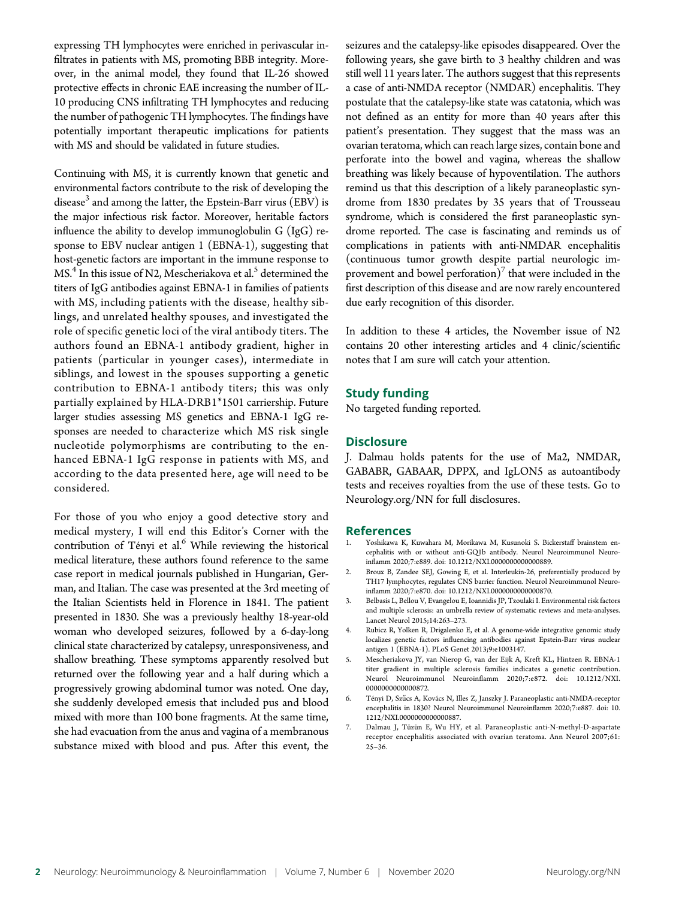expressing TH lymphocytes were enriched in perivascular infiltrates in patients with MS, promoting BBB integrity. Moreover, in the animal model, they found that IL-26 showed protective effects in chronic EAE increasing the number of IL-10 producing CNS infiltrating TH lymphocytes and reducing the number of pathogenic TH lymphocytes. The findings have potentially important therapeutic implications for patients with MS and should be validated in future studies.

Continuing with MS, it is currently known that genetic and environmental factors contribute to the risk of developing the disease<sup>3</sup> and among the latter, the Epstein-Barr virus (EBV) is the major infectious risk factor. Moreover, heritable factors influence the ability to develop immunoglobulin G (IgG) response to EBV nuclear antigen 1 (EBNA-1), suggesting that host-genetic factors are important in the immune response to MS.<sup>4</sup> In this issue of N2, Mescheriakova et al.<sup>5</sup> determined the titers of IgG antibodies against EBNA-1 in families of patients with MS, including patients with the disease, healthy siblings, and unrelated healthy spouses, and investigated the role of specific genetic loci of the viral antibody titers. The authors found an EBNA-1 antibody gradient, higher in patients (particular in younger cases), intermediate in siblings, and lowest in the spouses supporting a genetic contribution to EBNA-1 antibody titers; this was only partially explained by HLA-DRB1\*1501 carriership. Future larger studies assessing MS genetics and EBNA-1 IgG responses are needed to characterize which MS risk single nucleotide polymorphisms are contributing to the enhanced EBNA-1 IgG response in patients with MS, and according to the data presented here, age will need to be considered.

For those of you who enjoy a good detective story and medical mystery, I will end this Editor's Corner with the contribution of Tényi et al.<sup>6</sup> While reviewing the historical medical literature, these authors found reference to the same case report in medical journals published in Hungarian, German, and Italian. The case was presented at the 3rd meeting of the Italian Scientists held in Florence in 1841. The patient presented in 1830. She was a previously healthy 18-year-old woman who developed seizures, followed by a 6-day-long clinical state characterized by catalepsy, unresponsiveness, and shallow breathing. These symptoms apparently resolved but returned over the following year and a half during which a progressively growing abdominal tumor was noted. One day, she suddenly developed emesis that included pus and blood mixed with more than 100 bone fragments. At the same time, she had evacuation from the anus and vagina of a membranous substance mixed with blood and pus. After this event, the

seizures and the catalepsy-like episodes disappeared. Over the following years, she gave birth to 3 healthy children and was still well 11 years later. The authors suggest that this represents a case of anti-NMDA receptor (NMDAR) encephalitis. They postulate that the catalepsy-like state was catatonia, which was not defined as an entity for more than 40 years after this patient's presentation. They suggest that the mass was an ovarian teratoma, which can reach large sizes, contain bone and perforate into the bowel and vagina, whereas the shallow breathing was likely because of hypoventilation. The authors remind us that this description of a likely paraneoplastic syndrome from 1830 predates by 35 years that of Trousseau syndrome, which is considered the first paraneoplastic syndrome reported. The case is fascinating and reminds us of complications in patients with anti-NMDAR encephalitis (continuous tumor growth despite partial neurologic improvement and bowel perforation)<sup>7</sup> that were included in the first description of this disease and are now rarely encountered due early recognition of this disorder.

In addition to these 4 articles, the November issue of N2 contains 20 other interesting articles and 4 clinic/scientific notes that I am sure will catch your attention.

#### Study funding

No targeted funding reported.

#### **Disclosure**

J. Dalmau holds patents for the use of Ma2, NMDAR, GABABR, GABAAR, DPPX, and IgLON5 as autoantibody tests and receives royalties from the use of these tests. Go to [Neurology.org/NN](https://nn.neurology.org/content/7/6/e901/tab-article-info) for full disclosures.

#### References

- 1. Yoshikawa K, Kuwahara M, Morikawa M, Kusunoki S. Bickerstaff brainstem encephalitis with or without anti-GQ1b antibody. Neurol Neuroimmunol Neuroinflamm 2020;7:e889. [doi: 10.1212/NXI.0000000000000889.](https://nn.neurology.org/content/7/6/e889/tab-article-info)
- 2. Broux B, Zandee SEJ, Gowing E, et al. Interleukin-26, preferentially produced by TH17 lymphocytes, regulates CNS barrier function. Neurol Neuroimmunol Neuroinflamm 2020;7:e870. [doi: 10.1212/NXI.0000000000000870.](https://nn.neurology.org/content/7/6/e870/tab-article-info)
- 3. Belbasis L, Bellou V, Evangelou E, Ioannidis JP, Tzoulaki I. Environmental risk factors and multiple sclerosis: an umbrella review of systematic reviews and meta-analyses. Lancet Neurol 2015;14:263–273.
- 4. Rubicz R, Yolken R, Drigalenko E, et al. A genome-wide integrative genomic study localizes genetic factors influencing antibodies against Epstein-Barr virus nuclear antigen 1 (EBNA-1). PLoS Genet 2013;9:e1003147.
- 5. Mescheriakova JY, van Nierop G, van der Eijk A, Kreft KL, Hintzen R. EBNA-1 titer gradient in multiple sclerosis families indicates a genetic contribution. Neurol Neuroimmunol Neuroinflamm 2020;7:e872. [doi: 10.1212/NXI.](https://nn.neurology.org/content/7/6/e872/tab-article-info) [0000000000000872.](https://nn.neurology.org/content/7/6/e872/tab-article-info)
- 6. Tényi D, Szűcs A, Kovács N, Illes Z, Janszky J. Paraneoplastic anti-NMDA-receptor encephalitis in 1830? Neurol Neuroimmunol Neuroinflamm 2020;7:e887. [doi: 10.](https://nn.neurology.org/content/7/6/e872/tab-article-info) [1212/NXI.0000000000000887](https://nn.neurology.org/content/7/6/e872/tab-article-info).
- 7. Dalmau J, Tüzün E, Wu HY, et al. Paraneoplastic anti-N-methyl-D-aspartate receptor encephalitis associated with ovarian teratoma. Ann Neurol 2007;61: 25–36.